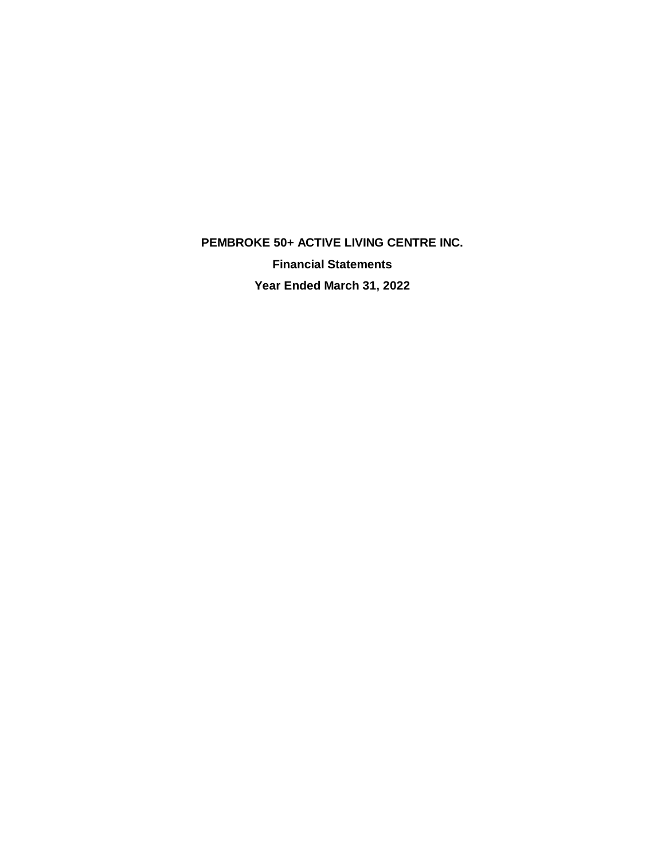**PEMBROKE 50+ ACTIVE LIVING CENTRE INC. Financial Statements Year Ended March 31, 2022**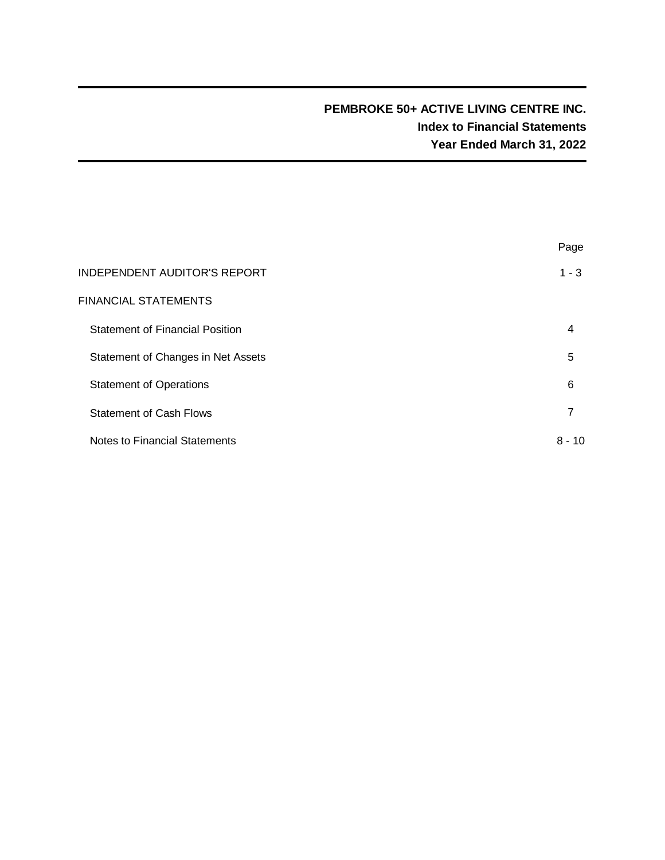# **PEMBROKE 50+ ACTIVE LIVING CENTRE INC. Index to Financial Statements Year Ended March 31, 2022**

|                                        | Page     |
|----------------------------------------|----------|
| <b>INDEPENDENT AUDITOR'S REPORT</b>    | $1 - 3$  |
| <b>FINANCIAL STATEMENTS</b>            |          |
| <b>Statement of Financial Position</b> | 4        |
| Statement of Changes in Net Assets     | 5        |
| <b>Statement of Operations</b>         | 6        |
| <b>Statement of Cash Flows</b>         | 7        |
| Notes to Financial Statements          | $8 - 10$ |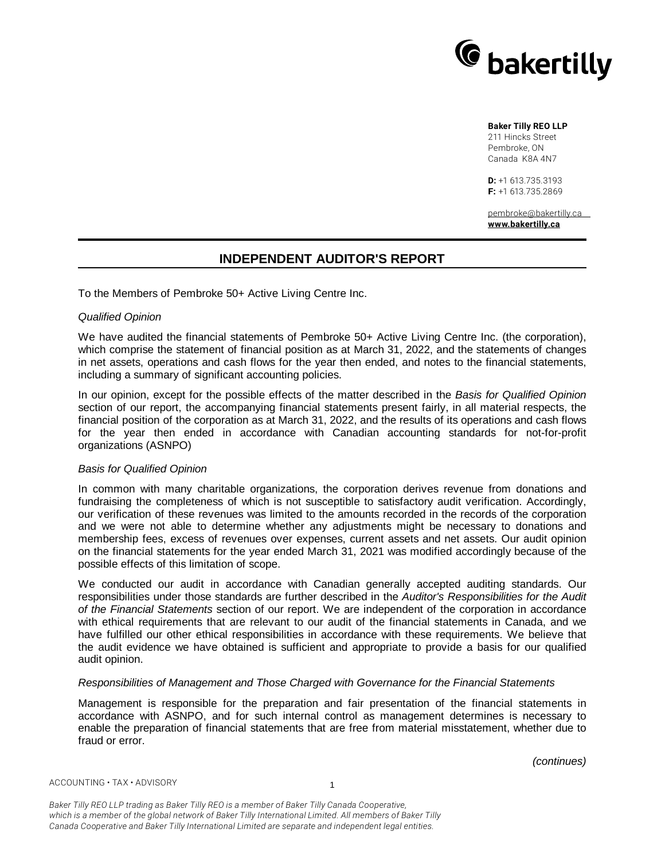

#### **Baker Tilly REO LLP** 211 Hincks Street

Pembroke, ON Canada K8A 4N7

**D:** +1 613.735.3193 **F:** +1 613.735.2869

[pembroke@bakertilly.ca](mailto:pembroke@bakertilly.ca) **[www.bakertilly.ca](http://www.bakertilly.ca)**

# **INDEPENDENT AUDITOR'S REPORT**

To the Members of Pembroke 50+ Active Living Centre Inc.

### *Qualified Opinion*

We have audited the financial statements of Pembroke 50+ Active Living Centre Inc. (the corporation), which comprise the statement of financial position as at March 31, 2022, and the statements of changes in net assets, operations and cash flows for the year then ended, and notes to the financial statements, including a summary of significant accounting policies.

In our opinion, except for the possible effects of the matter described in the *Basis for Qualified Opinion* section of our report, the accompanying financial statements present fairly, in all material respects, the financial position of the corporation as at March 31, 2022, and the results of its operations and cash flows for the year then ended in accordance with Canadian accounting standards for not-for-profit organizations (ASNPO)

### *Basis for Qualified Opinion*

In common with many charitable organizations, the corporation derives revenue from donations and fundraising the completeness of which is not susceptible to satisfactory audit verification. Accordingly, our verification of these revenues was limited to the amounts recorded in the records of the corporation and we were not able to determine whether any adjustments might be necessary to donations and membership fees, excess of revenues over expenses, current assets and net assets. Our audit opinion on the financial statements for the year ended March 31, 2021 was modified accordingly because of the possible effects of this limitation of scope.

We conducted our audit in accordance with Canadian generally accepted auditing standards. Our responsibilities under those standards are further described in the *Auditor's Responsibilities for the Audit of the Financial Statements* section of our report. We are independent of the corporation in accordance with ethical requirements that are relevant to our audit of the financial statements in Canada, and we have fulfilled our other ethical responsibilities in accordance with these requirements. We believe that the audit evidence we have obtained is sufficient and appropriate to provide a basis for our qualified audit opinion.

#### *Responsibilities of Management and Those Charged with Governance for the Financial Statements*

Management is responsible for the preparation and fair presentation of the financial statements in accordance with ASNPO, and for such internal control as management determines is necessary to enable the preparation of financial statements that are free from material misstatement, whether due to fraud or error.

*(continues)*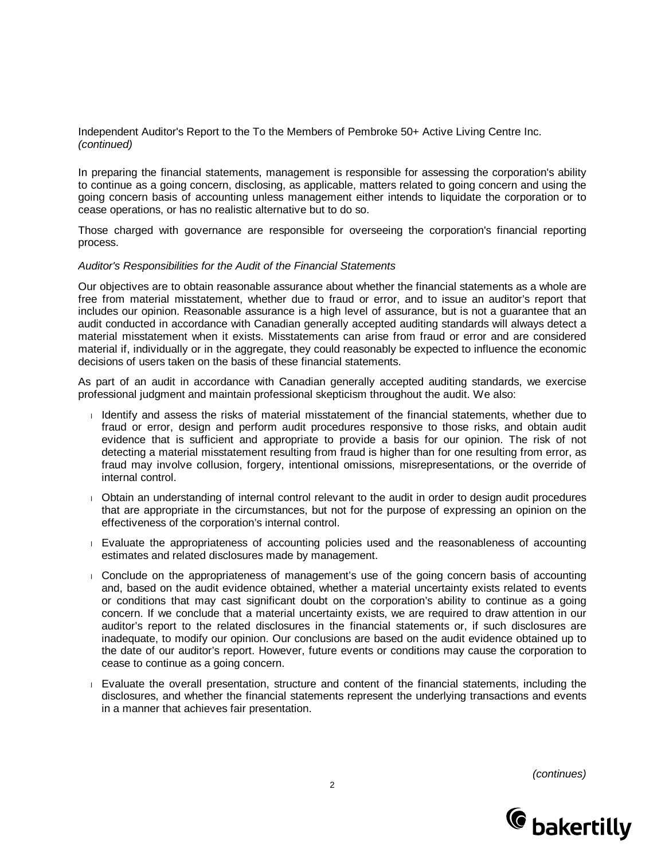Independent Auditor's Report to the To the Members of Pembroke 50+ Active Living Centre Inc. *(continued)*

In preparing the financial statements, management is responsible for assessing the corporation's ability to continue as a going concern, disclosing, as applicable, matters related to going concern and using the going concern basis of accounting unless management either intends to liquidate the corporation or to cease operations, or has no realistic alternative but to do so.

Those charged with governance are responsible for overseeing the corporation's financial reporting process.

#### *Auditor's Responsibilities for the Audit of the Financial Statements*

Our objectives are to obtain reasonable assurance about whether the financial statements as a whole are free from material misstatement, whether due to fraud or error, and to issue an auditor's report that includes our opinion. Reasonable assurance is a high level of assurance, but is not a guarantee that an audit conducted in accordance with Canadian generally accepted auditing standards will always detect a material misstatement when it exists. Misstatements can arise from fraud or error and are considered material if, individually or in the aggregate, they could reasonably be expected to influence the economic decisions of users taken on the basis of these financial statements.

As part of an audit in accordance with Canadian generally accepted auditing standards, we exercise professional judgment and maintain professional skepticism throughout the audit. We also:

- <sup>l</sup> Identify and assess the risks of material misstatement of the financial statements, whether due to fraud or error, design and perform audit procedures responsive to those risks, and obtain audit evidence that is sufficient and appropriate to provide a basis for our opinion. The risk of not detecting a material misstatement resulting from fraud is higher than for one resulting from error, as fraud may involve collusion, forgery, intentional omissions, misrepresentations, or the override of internal control.
- <sup>l</sup> Obtain an understanding of internal control relevant to the audit in order to design audit procedures that are appropriate in the circumstances, but not for the purpose of expressing an opinion on the effectiveness of the corporation's internal control.
- <sup>l</sup> Evaluate the appropriateness of accounting policies used and the reasonableness of accounting estimates and related disclosures made by management.
- <sup>l</sup> Conclude on the appropriateness of management's use of the going concern basis of accounting and, based on the audit evidence obtained, whether a material uncertainty exists related to events or conditions that may cast significant doubt on the corporation's ability to continue as a going concern. If we conclude that a material uncertainty exists, we are required to draw attention in our auditor's report to the related disclosures in the financial statements or, if such disclosures are inadequate, to modify our opinion. Our conclusions are based on the audit evidence obtained up to the date of our auditor's report. However, future events or conditions may cause the corporation to cease to continue as a going concern.
- <sup>l</sup> Evaluate the overall presentation, structure and content of the financial statements, including the disclosures, and whether the financial statements represent the underlying transactions and events in a manner that achieves fair presentation.

*(continues)*

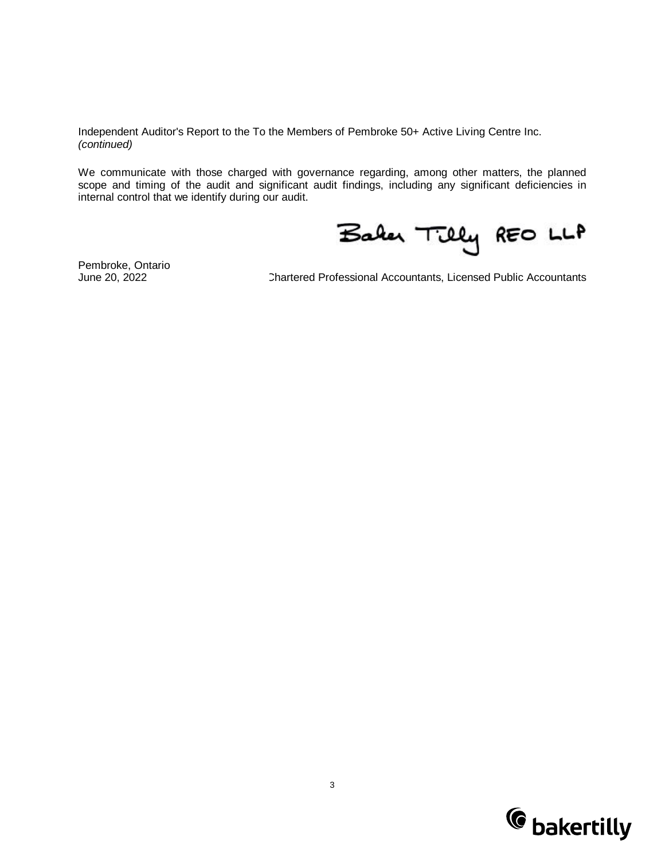Independent Auditor's Report to the To the Members of Pembroke 50+ Active Living Centre Inc. *(continued)*

We communicate with those charged with governance regarding, among other matters, the planned scope and timing of the audit and significant audit findings, including any significant deficiencies in internal control that we identify during our audit.

Baler Tilly REO LLP

Pembroke, Ontario

June 20, 2022 Chartered Professional Accountants, Licensed Public Accountants

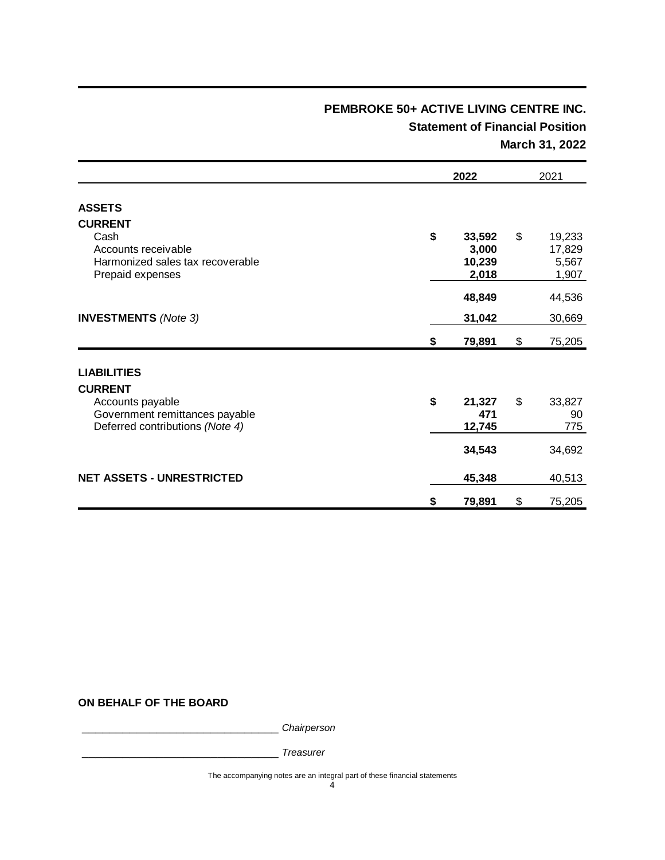# **PEMBROKE 50+ ACTIVE LIVING CENTRE INC. Statement of Financial Position March 31, 2022**

|                                                                                                                               |    | 2022                               |    | 2021                               |  |
|-------------------------------------------------------------------------------------------------------------------------------|----|------------------------------------|----|------------------------------------|--|
| <b>ASSETS</b>                                                                                                                 |    |                                    |    |                                    |  |
| <b>CURRENT</b><br>Cash<br>Accounts receivable<br>Harmonized sales tax recoverable<br>Prepaid expenses                         | \$ | 33,592<br>3,000<br>10,239<br>2,018 | \$ | 19,233<br>17,829<br>5,567<br>1,907 |  |
| <b>INVESTMENTS</b> (Note 3)                                                                                                   |    | 48,849<br>31,042                   |    | 44,536<br>30,669                   |  |
|                                                                                                                               | \$ | 79,891                             | \$ | 75,205                             |  |
| <b>LIABILITIES</b><br><b>CURRENT</b><br>Accounts payable<br>Government remittances payable<br>Deferred contributions (Note 4) | \$ | 21,327<br>471<br>12,745            | \$ | 33,827<br>90<br>775                |  |
| <b>NET ASSETS - UNRESTRICTED</b>                                                                                              |    | 34,543<br>45,348                   |    | 34,692<br>40,513                   |  |
|                                                                                                                               | \$ | 79,891                             | \$ | 75,205                             |  |

# **ON BEHALF OF THE BOARD**

\_\_\_\_\_\_\_\_\_\_\_\_\_\_\_\_\_\_\_\_\_\_\_\_\_\_\_\_\_ *Chairperson* 

\_\_\_\_\_\_\_\_\_\_\_\_\_\_\_\_\_\_\_\_\_\_\_\_\_\_\_\_\_ *Treasurer*

The accompanying notes are an integral part of these financial statements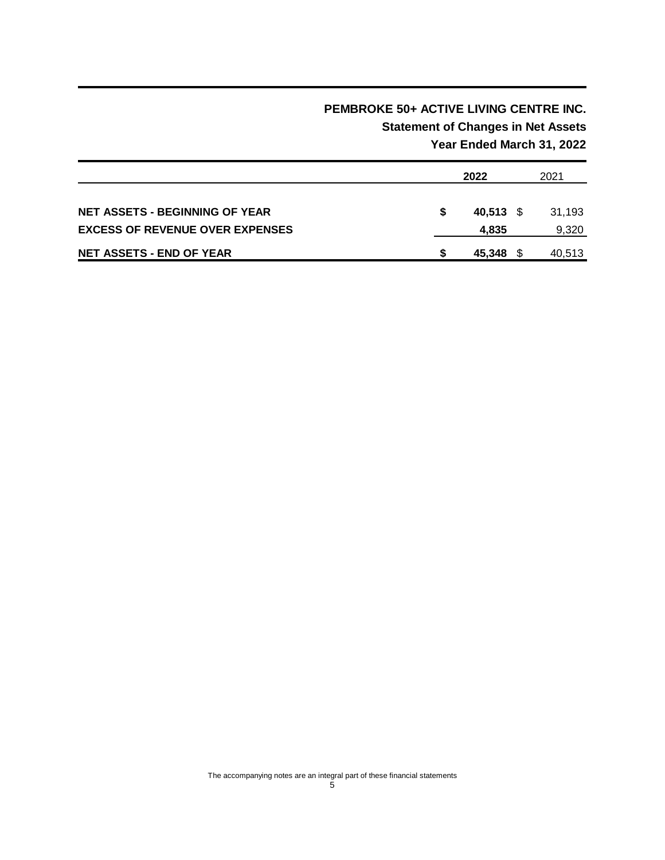# **PEMBROKE 50+ ACTIVE LIVING CENTRE INC.**

# **Statement of Changes in Net Assets**

**Year Ended March 31, 2022**

|                                        | 2022 |            |  | 2021   |  |
|----------------------------------------|------|------------|--|--------|--|
|                                        |      |            |  |        |  |
| <b>NET ASSETS - BEGINNING OF YEAR</b>  | S    | 40,513 $$$ |  | 31,193 |  |
| <b>EXCESS OF REVENUE OVER EXPENSES</b> |      | 4.835      |  | 9,320  |  |
| <b>NET ASSETS - END OF YEAR</b>        |      | 45.348     |  | 40,513 |  |
|                                        |      |            |  |        |  |

The accompanying notes are an integral part of these financial statements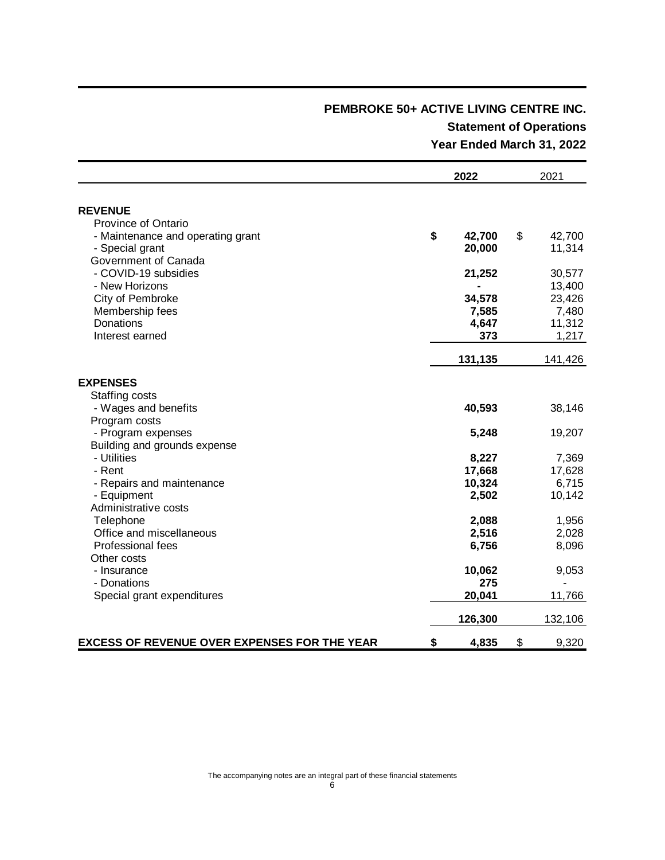# **PEMBROKE 50+ ACTIVE LIVING CENTRE INC.**

# **Statement of Operations Year Ended March 31, 2022**

|                                                     | 2022         | 2021         |
|-----------------------------------------------------|--------------|--------------|
| <b>REVENUE</b>                                      |              |              |
| Province of Ontario                                 |              |              |
| - Maintenance and operating grant                   | \$<br>42,700 | \$<br>42,700 |
| - Special grant                                     | 20,000       | 11,314       |
| Government of Canada                                |              |              |
| - COVID-19 subsidies                                | 21,252       | 30,577       |
| - New Horizons                                      |              | 13,400       |
| City of Pembroke                                    | 34,578       | 23,426       |
| Membership fees                                     | 7,585        | 7,480        |
| Donations                                           | 4,647        | 11,312       |
| Interest earned                                     | 373          | 1,217        |
|                                                     | 131,135      | 141,426      |
|                                                     |              |              |
| <b>EXPENSES</b>                                     |              |              |
| Staffing costs                                      |              |              |
| - Wages and benefits                                | 40,593       | 38,146       |
| Program costs                                       |              |              |
| - Program expenses                                  | 5,248        | 19,207       |
| Building and grounds expense                        |              |              |
| - Utilities                                         | 8,227        | 7,369        |
| - Rent                                              | 17,668       | 17,628       |
| - Repairs and maintenance                           | 10,324       | 6,715        |
| - Equipment                                         | 2,502        | 10,142       |
| Administrative costs                                |              |              |
| Telephone                                           | 2,088        | 1,956        |
| Office and miscellaneous                            | 2,516        | 2,028        |
| Professional fees                                   | 6,756        | 8,096        |
| Other costs                                         |              |              |
| - Insurance                                         | 10,062       | 9,053        |
| - Donations                                         | 275          |              |
| Special grant expenditures                          | 20,041       | 11,766       |
|                                                     | 126,300      | 132,106      |
|                                                     |              |              |
| <b>EXCESS OF REVENUE OVER EXPENSES FOR THE YEAR</b> | \$<br>4,835  | \$<br>9,320  |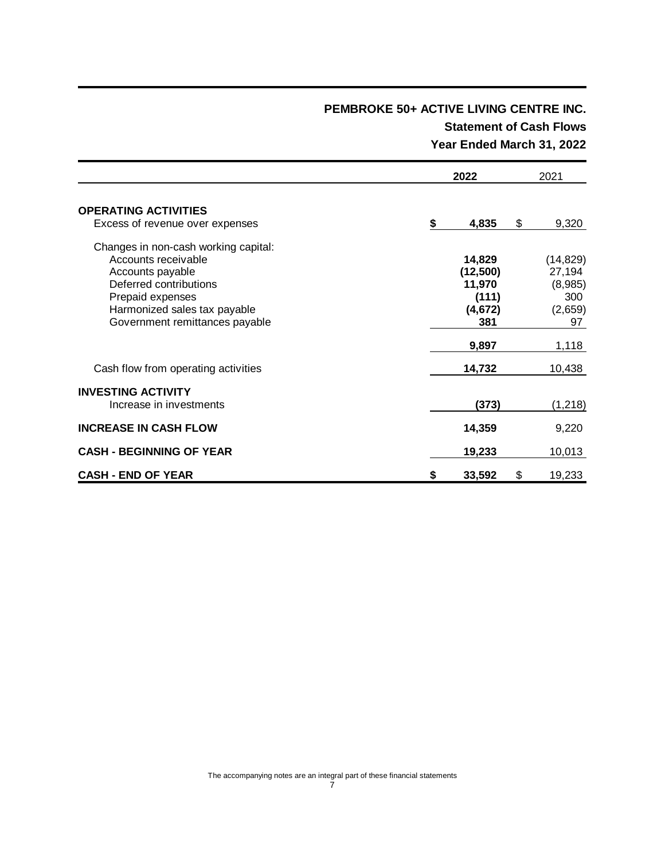# **PEMBROKE 50+ ACTIVE LIVING CENTRE INC.**

# **Statement of Cash Flows Year Ended March 31, 2022**

|                                                                                                                                                                                                 |    | 2022                                                              |    | 2021                                                            |  |
|-------------------------------------------------------------------------------------------------------------------------------------------------------------------------------------------------|----|-------------------------------------------------------------------|----|-----------------------------------------------------------------|--|
| <b>OPERATING ACTIVITIES</b><br>Excess of revenue over expenses                                                                                                                                  | \$ | 4,835                                                             | \$ | 9,320                                                           |  |
|                                                                                                                                                                                                 |    |                                                                   |    |                                                                 |  |
| Changes in non-cash working capital:<br>Accounts receivable<br>Accounts payable<br>Deferred contributions<br>Prepaid expenses<br>Harmonized sales tax payable<br>Government remittances payable |    | 14,829<br>(12,500)<br>11,970<br>(111)<br>(4, 672)<br>381<br>9,897 |    | (14, 829)<br>27,194<br>(8,985)<br>300<br>(2,659)<br>97<br>1,118 |  |
| Cash flow from operating activities                                                                                                                                                             |    | 14,732                                                            |    | 10,438                                                          |  |
| <b>INVESTING ACTIVITY</b><br>Increase in investments                                                                                                                                            |    | (373)                                                             |    | (1, 218)                                                        |  |
| <b>INCREASE IN CASH FLOW</b>                                                                                                                                                                    |    | 14,359                                                            |    | 9,220                                                           |  |
| <b>CASH - BEGINNING OF YEAR</b>                                                                                                                                                                 |    | 19,233                                                            |    | 10,013                                                          |  |
| <b>CASH - END OF YEAR</b>                                                                                                                                                                       | \$ | 33,592                                                            | \$ | 19,233                                                          |  |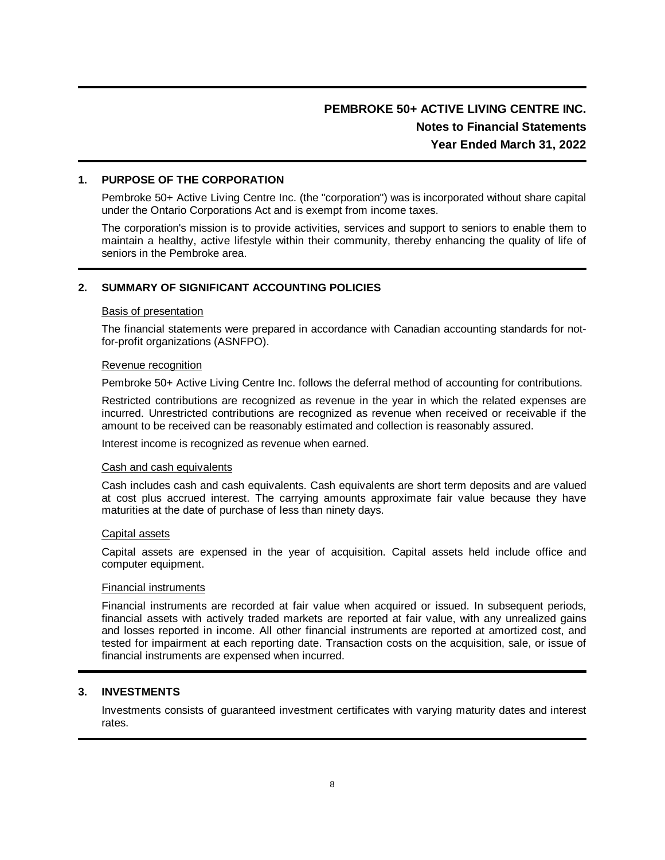# **PEMBROKE 50+ ACTIVE LIVING CENTRE INC. Notes to Financial Statements Year Ended March 31, 2022**

# **1. PURPOSE OF THE CORPORATION**

Pembroke 50+ Active Living Centre Inc. (the "corporation") was is incorporated without share capital under the Ontario Corporations Act and is exempt from income taxes.

The corporation's mission is to provide activities, services and support to seniors to enable them to maintain a healthy, active lifestyle within their community, thereby enhancing the quality of life of seniors in the Pembroke area.

# **2. SUMMARY OF SIGNIFICANT ACCOUNTING POLICIES**

#### Basis of presentation

The financial statements were prepared in accordance with Canadian accounting standards for notfor-profit organizations (ASNFPO).

#### Revenue recognition

Pembroke 50+ Active Living Centre Inc. follows the deferral method of accounting for contributions.

Restricted contributions are recognized as revenue in the year in which the related expenses are incurred. Unrestricted contributions are recognized as revenue when received or receivable if the amount to be received can be reasonably estimated and collection is reasonably assured.

Interest income is recognized as revenue when earned.

#### Cash and cash equivalents

Cash includes cash and cash equivalents. Cash equivalents are short term deposits and are valued at cost plus accrued interest. The carrying amounts approximate fair value because they have maturities at the date of purchase of less than ninety days.

#### Capital assets

Capital assets are expensed in the year of acquisition. Capital assets held include office and computer equipment.

### Financial instruments

Financial instruments are recorded at fair value when acquired or issued. In subsequent periods, financial assets with actively traded markets are reported at fair value, with any unrealized gains and losses reported in income. All other financial instruments are reported at amortized cost, and tested for impairment at each reporting date. Transaction costs on the acquisition, sale, or issue of financial instruments are expensed when incurred.

### **3. INVESTMENTS**

Investments consists of guaranteed investment certificates with varying maturity dates and interest rates.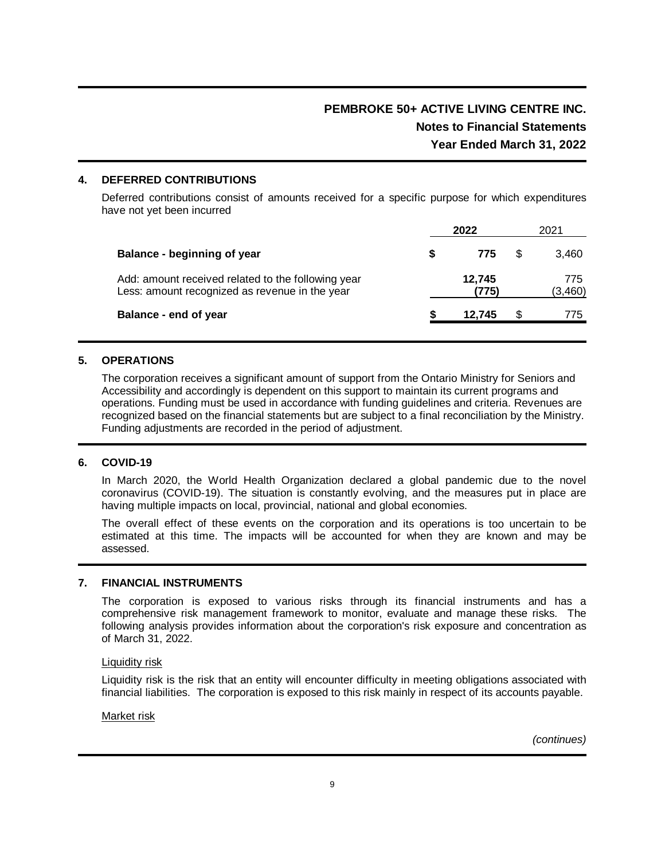# **PEMBROKE 50+ ACTIVE LIVING CENTRE INC. Notes to Financial Statements Year Ended March 31, 2022**

# **4. DEFERRED CONTRIBUTIONS**

Deferred contributions consist of amounts received for a specific purpose for which expenditures have not yet been incurred

|                                                                                                      | 2022 |                 | 2021 |                 |
|------------------------------------------------------------------------------------------------------|------|-----------------|------|-----------------|
| <b>Balance - beginning of year</b>                                                                   | S    | 775             | \$.  | 3.460           |
| Add: amount received related to the following year<br>Less: amount recognized as revenue in the year |      | 12,745<br>(775) |      | 775.<br>(3,460) |
| Balance - end of year                                                                                |      | 12.745          |      | 775             |
|                                                                                                      |      |                 |      |                 |

### **5. OPERATIONS**

The corporation receives a significant amount of support from the Ontario Ministry for Seniors and Accessibility and accordingly is dependent on this support to maintain its current programs and operations. Funding must be used in accordance with funding guidelines and criteria. Revenues are recognized based on the financial statements but are subject to a final reconciliation by the Ministry. Funding adjustments are recorded in the period of adjustment.

### **6. COVID-19**

In March 2020, the World Health Organization declared a global pandemic due to the novel coronavirus (COVID-19). The situation is constantly evolving, and the measures put in place are having multiple impacts on local, provincial, national and global economies.

The overall effect of these events on the corporation and its operations is too uncertain to be estimated at this time. The impacts will be accounted for when they are known and may be assessed.

### **7. FINANCIAL INSTRUMENTS**

The corporation is exposed to various risks through its financial instruments and has a comprehensive risk management framework to monitor, evaluate and manage these risks. The following analysis provides information about the corporation's risk exposure and concentration as of March 31, 2022.

### Liquidity risk

Liquidity risk is the risk that an entity will encounter difficulty in meeting obligations associated with financial liabilities. The corporation is exposed to this risk mainly in respect of its accounts payable.

### Market risk

*(continues)*